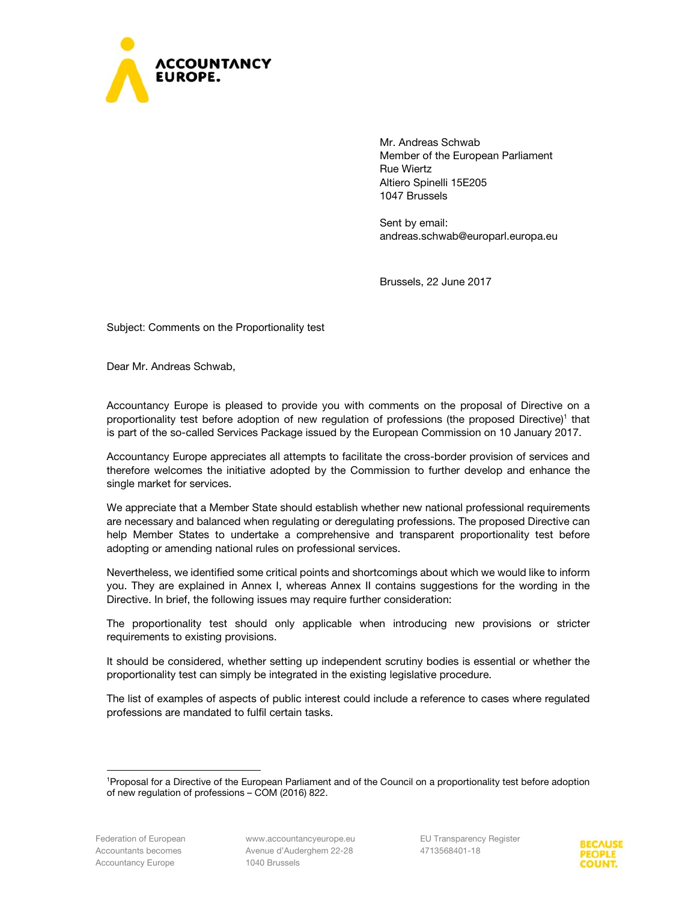

Mr. Andreas Schwab Member of the European Parliament Rue Wiertz Altiero Spinelli 15E205 1047 Brussels

Sent by email: andreas.schwab@europarl.europa.eu

Brussels, 22 June 2017

Subject: Comments on the Proportionality test

Dear Mr. Andreas Schwab,

Accountancy Europe is pleased to provide you with comments on the proposal of Directive on a proportionality test before adoption of new regulation of professions (the proposed Directive)<sup>1</sup> that is part of the so-called Services Package issued by the European Commission on 10 January 2017.

Accountancy Europe appreciates all attempts to facilitate the cross-border provision of services and therefore welcomes the initiative adopted by the Commission to further develop and enhance the single market for services.

We appreciate that a Member State should establish whether new national professional requirements are necessary and balanced when regulating or deregulating professions. The proposed Directive can help Member States to undertake a comprehensive and transparent proportionality test before adopting or amending national rules on professional services.

Nevertheless, we identified some critical points and shortcomings about which we would like to inform you. They are explained in Annex I, whereas Annex II contains suggestions for the wording in the Directive. In brief, the following issues may require further consideration:

The proportionality test should only applicable when introducing new provisions or stricter requirements to existing provisions.

It should be considered, whether setting up independent scrutiny bodies is essential or whether the proportionality test can simply be integrated in the existing legislative procedure.

The list of examples of aspects of public interest could include a reference to cases where regulated professions are mandated to fulfil certain tasks.



<sup>1</sup>Proposal for a Directive of the European Parliament and of the Council on a proportionality test before adoption of new regulation of professions – COM (2016) 822.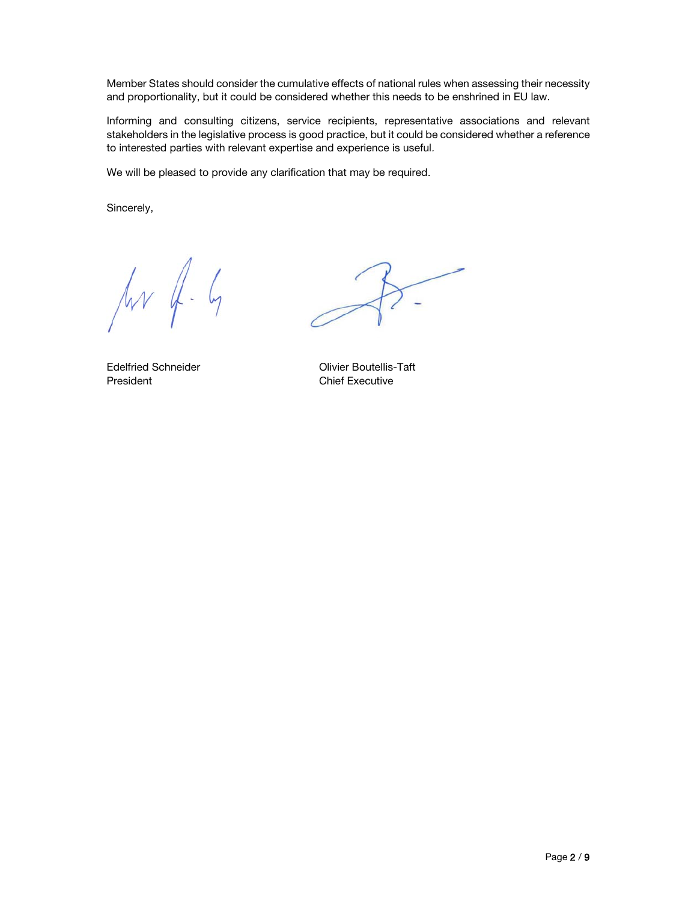Member States should consider the cumulative effects of national rules when assessing their necessity and proportionality, but it could be considered whether this needs to be enshrined in EU law.

Informing and consulting citizens, service recipients, representative associations and relevant stakeholders in the legislative process is good practice, but it could be considered whether a reference to interested parties with relevant expertise and experience is useful.

We will be pleased to provide any clarification that may be required.

Sincerely,

 $\sqrt{rr}$  of  $-6$ 

President **Chief Executive** 

Edelfried Schneider Olivier Boutellis-Taft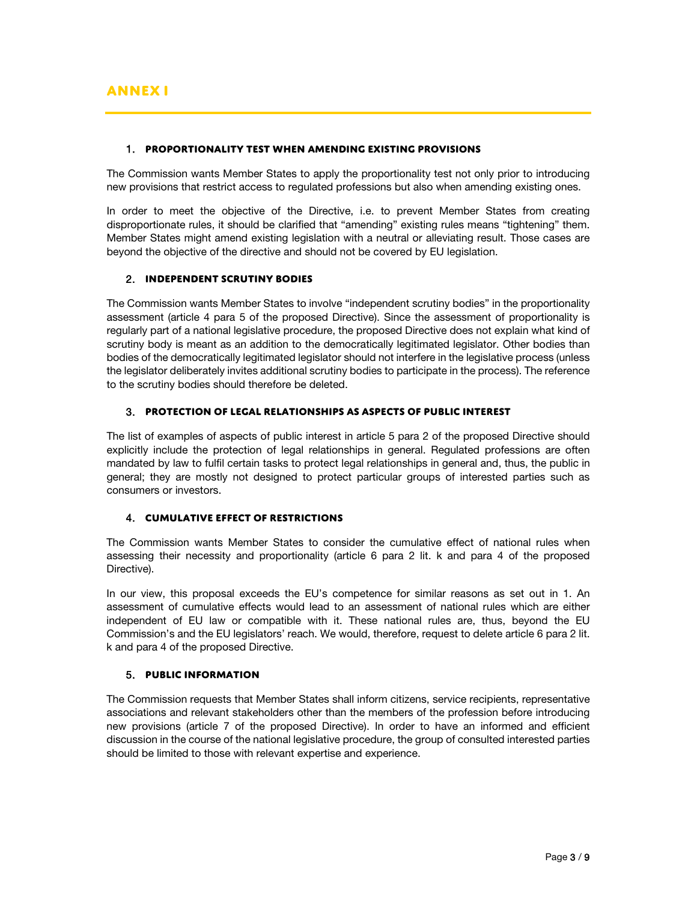## 1. **Proportionality test when amending existing provisions**

The Commission wants Member States to apply the proportionality test not only prior to introducing new provisions that restrict access to regulated professions but also when amending existing ones.

In order to meet the objective of the Directive, i.e. to prevent Member States from creating disproportionate rules, it should be clarified that "amending" existing rules means "tightening" them. Member States might amend existing legislation with a neutral or alleviating result. Those cases are beyond the objective of the directive and should not be covered by EU legislation.

# 2. **Independent scrutiny bodies**

The Commission wants Member States to involve "independent scrutiny bodies" in the proportionality assessment (article 4 para 5 of the proposed Directive). Since the assessment of proportionality is regularly part of a national legislative procedure, the proposed Directive does not explain what kind of scrutiny body is meant as an addition to the democratically legitimated legislator. Other bodies than bodies of the democratically legitimated legislator should not interfere in the legislative process (unless the legislator deliberately invites additional scrutiny bodies to participate in the process). The reference to the scrutiny bodies should therefore be deleted.

# 3. **Protection of legal relationships as aspects of public interest**

The list of examples of aspects of public interest in article 5 para 2 of the proposed Directive should explicitly include the protection of legal relationships in general. Regulated professions are often mandated by law to fulfil certain tasks to protect legal relationships in general and, thus, the public in general; they are mostly not designed to protect particular groups of interested parties such as consumers or investors.

# 4. **Cumulative effect of restrictions**

The Commission wants Member States to consider the cumulative effect of national rules when assessing their necessity and proportionality (article 6 para 2 lit. k and para 4 of the proposed Directive).

In our view, this proposal exceeds the EU's competence for similar reasons as set out in 1. An assessment of cumulative effects would lead to an assessment of national rules which are either independent of EU law or compatible with it. These national rules are, thus, beyond the EU Commission's and the EU legislators' reach. We would, therefore, request to delete article 6 para 2 lit. k and para 4 of the proposed Directive.

# 5. **Public information**

The Commission requests that Member States shall inform citizens, service recipients, representative associations and relevant stakeholders other than the members of the profession before introducing new provisions (article 7 of the proposed Directive). In order to have an informed and efficient discussion in the course of the national legislative procedure, the group of consulted interested parties should be limited to those with relevant expertise and experience.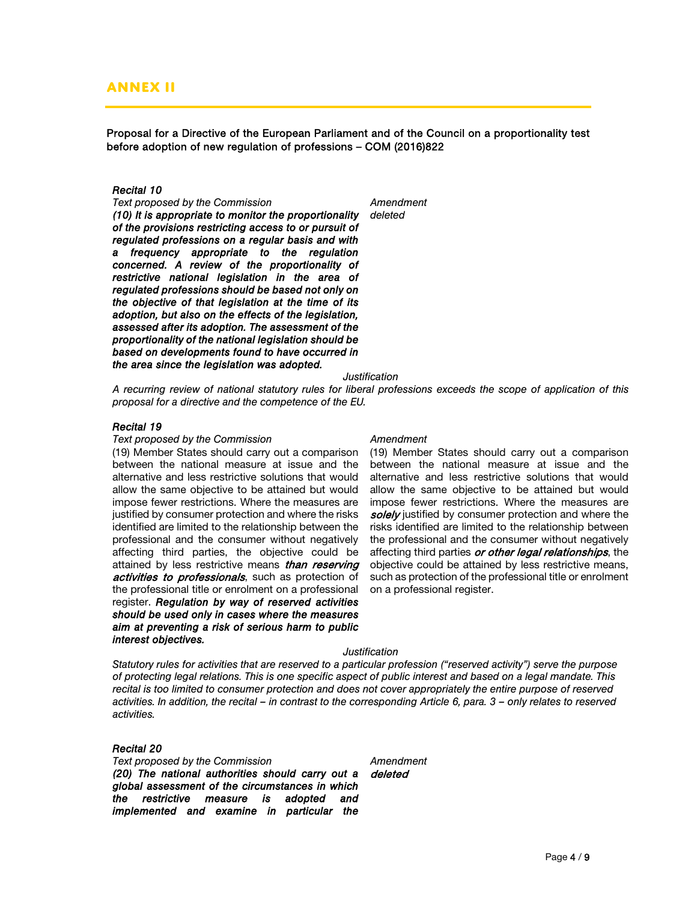# **Annex II**

Proposal for a Directive of the European Parliament and of the Council on a proportionality test before adoption of new regulation of professions – COM (2016)822

# *Recital 10*

**Text proposed by the Commission Manufacture Amendment** *(10) It is appropriate to monitor the proportionality of the provisions restricting access to or pursuit of regulated professions on a regular basis and with a frequency appropriate to the regulation concerned. A review of the proportionality of restrictive national legislation in the area of regulated professions should be based not only on the objective of that legislation at the time of its adoption, but also on the effects of the legislation, assessed after its adoption. The assessment of the proportionality of the national legislation should be based on developments found to have occurred in the area since the legislation was adopted.* 

*deleted* 

*Justification* 

*A recurring review of national statutory rules for liberal professions exceeds the scope of application of this proposal for a directive and the competence of the EU.* 

### *Recital 19*

### **Text proposed by the Commission Commission Amendment**

(19) Member States should carry out a comparison between the national measure at issue and the alternative and less restrictive solutions that would allow the same objective to be attained but would impose fewer restrictions. Where the measures are justified by consumer protection and where the risks identified are limited to the relationship between the professional and the consumer without negatively affecting third parties, the objective could be attained by less restrictive means than reserving activities to professionals, such as protection of the professional title or enrolment on a professional register. *Regulation by way of reserved activities should be used only in cases where the measures aim at preventing a risk of serious harm to public interest objectives.*

(19) Member States should carry out a comparison between the national measure at issue and the alternative and less restrictive solutions that would allow the same objective to be attained but would impose fewer restrictions. Where the measures are solely justified by consumer protection and where the risks identified are limited to the relationship between the professional and the consumer without negatively affecting third parties or other legal relationships, the objective could be attained by less restrictive means, such as protection of the professional title or enrolment on a professional register.

### *Justification*

*Statutory rules for activities that are reserved to a particular profession ("reserved activity") serve the purpose of protecting legal relations. This is one specific aspect of public interest and based on a legal mandate. This recital is too limited to consumer protection and does not cover appropriately the entire purpose of reserved activities. In addition, the recital – in contrast to the corresponding Article 6, para. 3 – only relates to reserved activities.* 

### *Recital 20*

**Text proposed by the Commission Manufacture Amendment** *(20) The national authorities should carry out a global assessment of the circumstances in which the restrictive measure is adopted and implemented and examine in particular the* 

deleted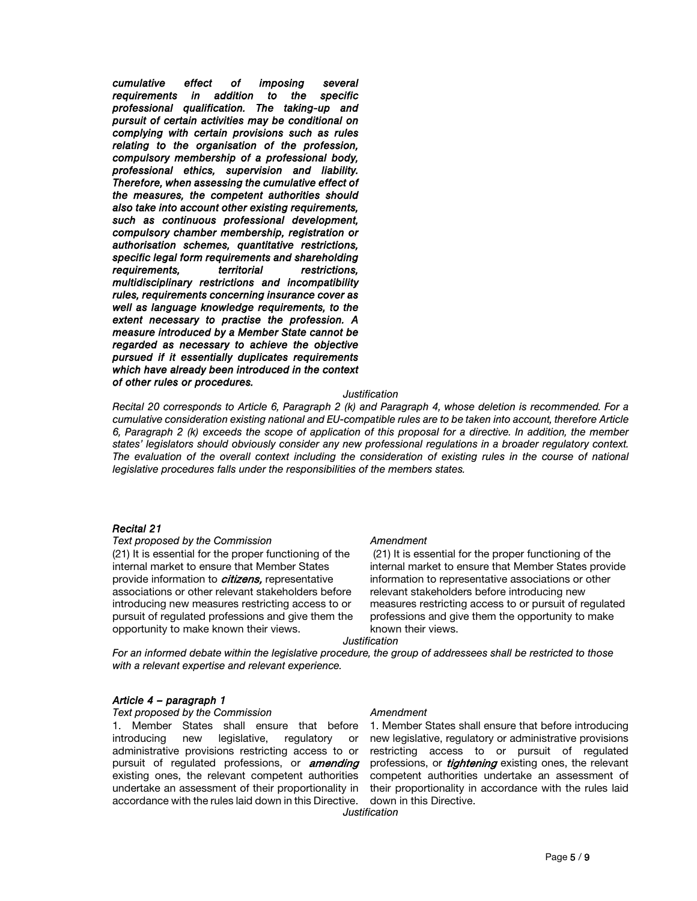*cumulative effect of imposing several requirements in addition to the specific professional qualification. The taking-up and pursuit of certain activities may be conditional on complying with certain provisions such as rules relating to the organisation of the profession, compulsory membership of a professional body, professional ethics, supervision and liability. Therefore, when assessing the cumulative effect of the measures, the competent authorities should also take into account other existing requirements, such as continuous professional development, compulsory chamber membership, registration or authorisation schemes, quantitative restrictions, specific legal form requirements and shareholding requirements, territorial restrictions, multidisciplinary restrictions and incompatibility rules, requirements concerning insurance cover as well as language knowledge requirements, to the extent necessary to practise the profession. A measure introduced by a Member State cannot be regarded as necessary to achieve the objective pursued if it essentially duplicates requirements which have already been introduced in the context of other rules or procedures.* 

# *Justification*

*Recital 20 corresponds to Article 6, Paragraph 2 (k) and Paragraph 4, whose deletion is recommended. For a cumulative consideration existing national and EU-compatible rules are to be taken into account, therefore Article 6, Paragraph 2 (k) exceeds the scope of application of this proposal for a directive. In addition, the member states' legislators should obviously consider any new professional regulations in a broader regulatory context.*  The evaluation of the overall context including the consideration of existing rules in the course of national *legislative procedures falls under the responsibilities of the members states.* 

## *Recital 21*

**Text proposed by the Commission Commission Amendment** 

(21) It is essential for the proper functioning of the internal market to ensure that Member States provide information to *citizens*, representative associations or other relevant stakeholders before introducing new measures restricting access to or pursuit of regulated professions and give them the opportunity to make known their views.

 (21) It is essential for the proper functioning of the internal market to ensure that Member States provide information to representative associations or other relevant stakeholders before introducing new measures restricting access to or pursuit of regulated professions and give them the opportunity to make known their views.

*Justification* 

*For an informed debate within the legislative procedure, the group of addressees shall be restricted to those with a relevant expertise and relevant experience.* 

# *Article 4 – paragraph 1*

**Text proposed by the Commission Manufacture Amendment** 

1. Member States shall ensure that before introducing new legislative, regulatory or administrative provisions restricting access to or pursuit of regulated professions, or **amending** existing ones, the relevant competent authorities undertake an assessment of their proportionality in accordance with the rules laid down in this Directive.

1. Member States shall ensure that before introducing new legislative, regulatory or administrative provisions restricting access to or pursuit of regulated professions, or *tightening* existing ones, the relevant competent authorities undertake an assessment of their proportionality in accordance with the rules laid down in this Directive.

*Justification*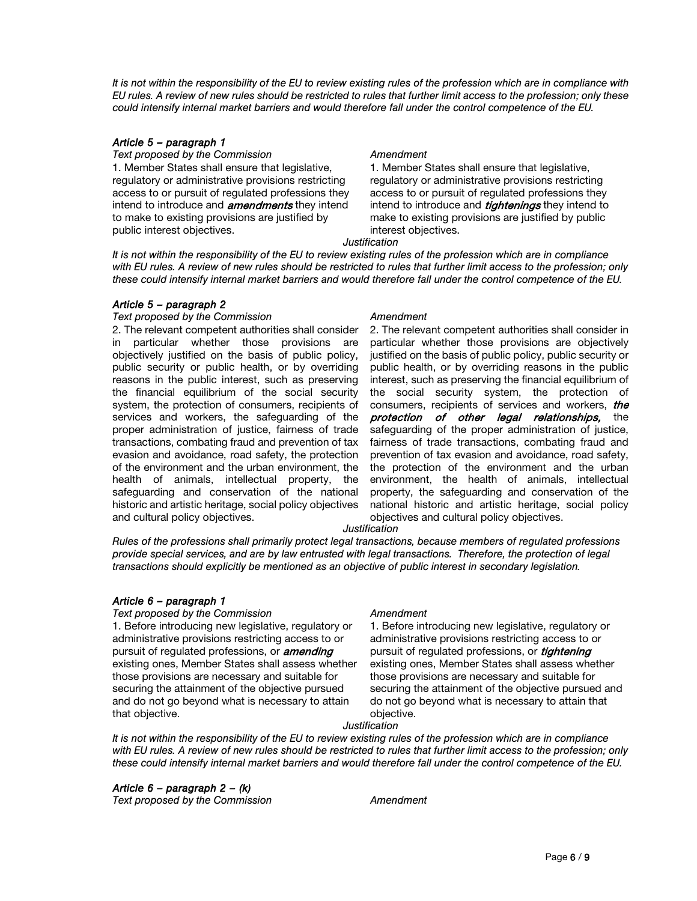*It is not within the responsibility of the EU to review existing rules of the profession which are in compliance with EU rules. A review of new rules should be restricted to rules that further limit access to the profession; only these could intensify internal market barriers and would therefore fall under the control competence of the EU.* 

## *Article 5 – paragraph 1*

**Text proposed by the Commission Manufacture Amendment** 1. Member States shall ensure that legislative, regulatory or administrative provisions restricting access to or pursuit of regulated professions they intend to introduce and **amendments** they intend to make to existing provisions are justified by public interest objectives.

1. Member States shall ensure that legislative, regulatory or administrative provisions restricting access to or pursuit of regulated professions they intend to introduce and *tightenings* they intend to make to existing provisions are justified by public interest objectives.

*Justification* 

*It is not within the responsibility of the EU to review existing rules of the profession which are in compliance with EU rules. A review of new rules should be restricted to rules that further limit access to the profession; only these could intensify internal market barriers and would therefore fall under the control competence of the EU.* 

# *Article 5 – paragraph 2*

## **Text proposed by the Commission Commission Amendment**

2. The relevant competent authorities shall consider in particular whether those provisions are objectively justified on the basis of public policy, public security or public health, or by overriding reasons in the public interest, such as preserving the financial equilibrium of the social security system, the protection of consumers, recipients of services and workers, the safeguarding of the proper administration of justice, fairness of trade transactions, combating fraud and prevention of tax evasion and avoidance, road safety, the protection of the environment and the urban environment, the health of animals, intellectual property, the safeguarding and conservation of the national historic and artistic heritage, social policy objectives and cultural policy objectives.

2. The relevant competent authorities shall consider in particular whether those provisions are objectively justified on the basis of public policy, public security or public health, or by overriding reasons in the public interest, such as preserving the financial equilibrium of the social security system, the protection of consumers, recipients of services and workers, the protection of other legal relationships, the safeguarding of the proper administration of justice, fairness of trade transactions, combating fraud and prevention of tax evasion and avoidance, road safety, the protection of the environment and the urban environment, the health of animals, intellectual property, the safeguarding and conservation of the national historic and artistic heritage, social policy objectives and cultural policy objectives.

## *Justification*

*Rules of the professions shall primarily protect legal transactions, because members of regulated professions provide special services, and are by law entrusted with legal transactions. Therefore, the protection of legal transactions should explicitly be mentioned as an objective of public interest in secondary legislation.* 

# *Article 6 – paragraph 1*

## **Text proposed by the Commission Amendment**

1. Before introducing new legislative, regulatory or administrative provisions restricting access to or pursuit of regulated professions, or **amending** existing ones, Member States shall assess whether those provisions are necessary and suitable for securing the attainment of the objective pursued and do not go beyond what is necessary to attain that objective.

1. Before introducing new legislative, regulatory or administrative provisions restricting access to or pursuit of regulated professions, or *tightening* existing ones, Member States shall assess whether those provisions are necessary and suitable for securing the attainment of the objective pursued and do not go beyond what is necessary to attain that objective.

## *Justification*

*It is not within the responsibility of the EU to review existing rules of the profession which are in compliance with EU rules. A review of new rules should be restricted to rules that further limit access to the profession; only these could intensify internal market barriers and would therefore fall under the control competence of the EU.* 

# *Article 6 – paragraph 2 – (k)*

**Text proposed by the Commission 6 amendment commission**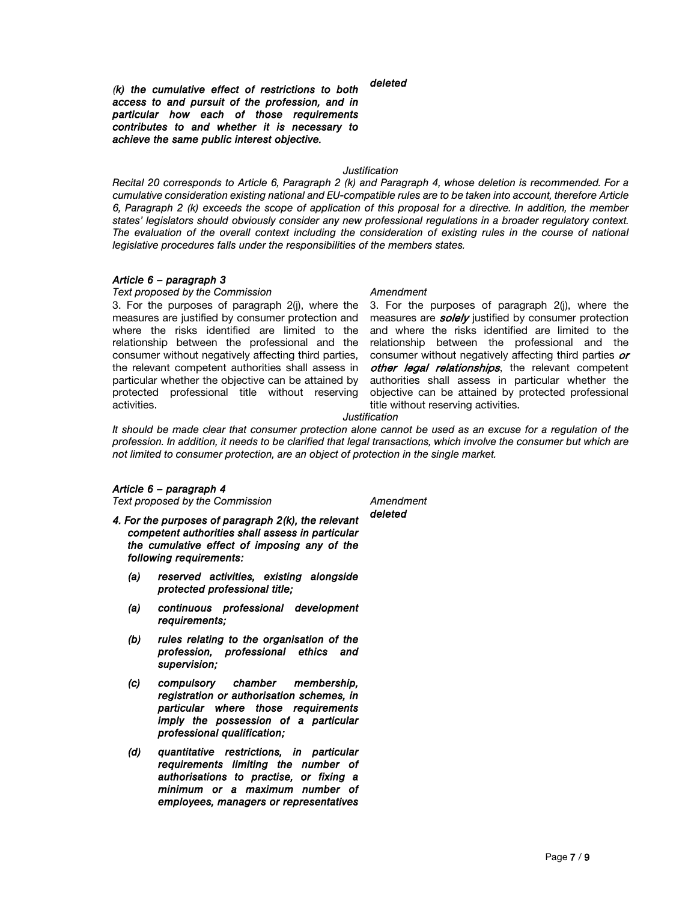*deleted* 

*(k) the cumulative effect of restrictions to both access to and pursuit of the profession, and in particular how each of those requirements contributes to and whether it is necessary to achieve the same public interest objective.* 

# *Justification*

*Recital 20 corresponds to Article 6, Paragraph 2 (k) and Paragraph 4, whose deletion is recommended. For a cumulative consideration existing national and EU-compatible rules are to be taken into account, therefore Article 6, Paragraph 2 (k) exceeds the scope of application of this proposal for a directive. In addition, the member states' legislators should obviously consider any new professional regulations in a broader regulatory context. The evaluation of the overall context including the consideration of existing rules in the course of national legislative procedures falls under the responsibilities of the members states.* 

## *Article 6 – paragraph 3*

### **Text proposed by the Commission Manufacture Amendment**

3. For the purposes of paragraph 2(j), where the measures are justified by consumer protection and where the risks identified are limited to the relationship between the professional and the consumer without negatively affecting third parties, the relevant competent authorities shall assess in particular whether the objective can be attained by protected professional title without reserving activities.

3. For the purposes of paragraph 2(j), where the measures are **solely** justified by consumer protection and where the risks identified are limited to the relationship between the professional and the consumer without negatively affecting third parties or other legal relationships, the relevant competent authorities shall assess in particular whether the objective can be attained by protected professional title without reserving activities.

### *Justification*

*It should be made clear that consumer protection alone cannot be used as an excuse for a regulation of the profession. In addition, it needs to be clarified that legal transactions, which involve the consumer but which are not limited to consumer protection, are an object of protection in the single market.* 

## *Article 6 – paragraph 4*

**Text proposed by the Commission Commission Amendment** 

- *4. For the purposes of paragraph 2(k), the relevant competent authorities shall assess in particular the cumulative effect of imposing any of the following requirements:* 
	- *(a) reserved activities, existing alongside protected professional title;*
	- *(a) continuous professional development requirements;*
	- *(b) rules relating to the organisation of the profession, professional ethics and supervision;*
	- *(c) compulsory chamber membership, registration or authorisation schemes, in particular where those requirements imply the possession of a particular professional qualification;*
	- *(d) quantitative restrictions, in particular requirements limiting the number of authorisations to practise, or fixing a minimum or a maximum number of employees, managers or representatives*

*deleted*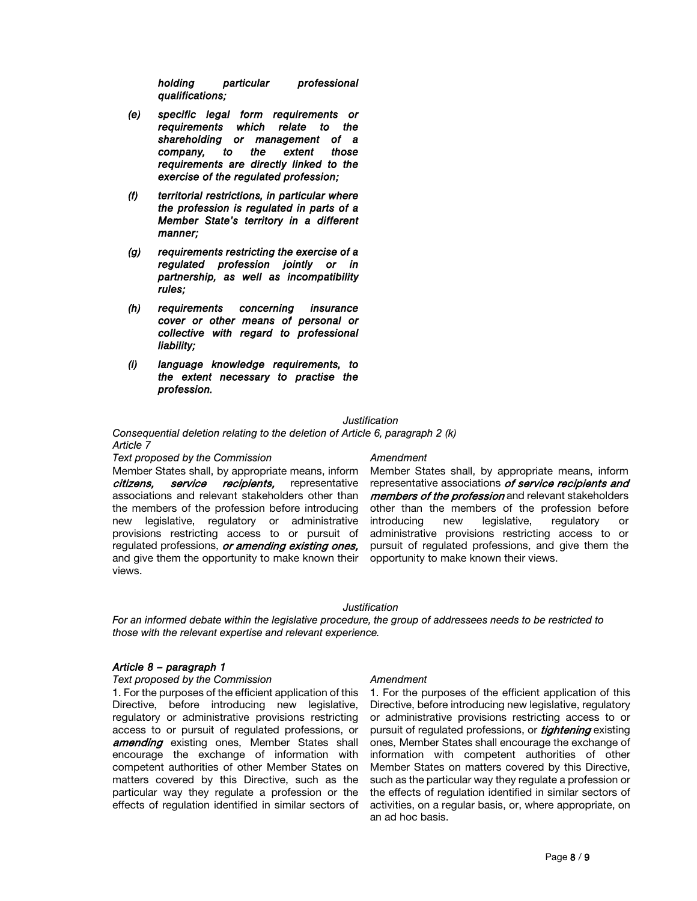*holding particular professional qualifications;* 

- *(e) specific legal form requirements or requirements which relate to the shareholding or management of a company, to the extent those requirements are directly linked to the exercise of the regulated profession;*
- *(f) territorial restrictions, in particular where the profession is regulated in parts of a Member State's territory in a different manner;*
- *(g) requirements restricting the exercise of a regulated profession jointly or in partnership, as well as incompatibility rules;*
- *(h) requirements concerning insurance cover or other means of personal or collective with regard to professional liability;*
- *(i) language knowledge requirements, to the extent necessary to practise the profession.*

### *Justification*

*Consequential deletion relating to the deletion of Article 6, paragraph 2 (k) Article 7* 

**Text proposed by the Commission Manufacture Amendment** 

Member States shall, by appropriate means, inform citizens, service recipients, representative associations and relevant stakeholders other than the members of the profession before introducing new legislative, regulatory or administrative provisions restricting access to or pursuit of regulated professions, or amending existing ones, and give them the opportunity to make known their views.

Member States shall, by appropriate means, inform representative associations of service recipients and members of the profession and relevant stakeholders other than the members of the profession before introducing new legislative, regulatory or administrative provisions restricting access to or pursuit of regulated professions, and give them the opportunity to make known their views.

## *Justification*

*For an informed debate within the legislative procedure, the group of addressees needs to be restricted to those with the relevant expertise and relevant experience.* 

### *Article 8 – paragraph 1*

### **Text proposed by the Commission Commission Amendment**

1. For the purposes of the efficient application of this Directive, before introducing new legislative, regulatory or administrative provisions restricting access to or pursuit of regulated professions, or **amending** existing ones, Member States shall encourage the exchange of information with competent authorities of other Member States on matters covered by this Directive, such as the particular way they regulate a profession or the effects of regulation identified in similar sectors of

1. For the purposes of the efficient application of this Directive, before introducing new legislative, regulatory or administrative provisions restricting access to or pursuit of regulated professions, or *tightening* existing ones, Member States shall encourage the exchange of information with competent authorities of other Member States on matters covered by this Directive, such as the particular way they regulate a profession or the effects of regulation identified in similar sectors of activities, on a regular basis, or, where appropriate, on an ad hoc basis.